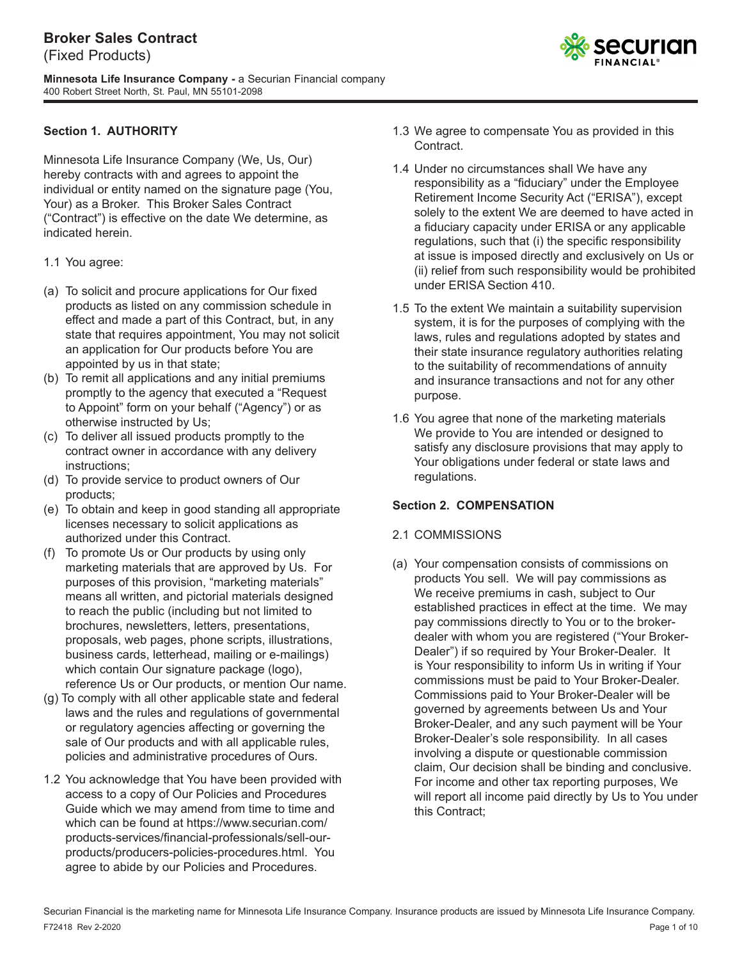**Minnesota Life Insurance Company -** a Securian Financial company 400 Robert Street North, St. Paul, MN 55101-2098

## **Section 1. AUTHORITY**

Minnesota Life Insurance Company (We, Us, Our) hereby contracts with and agrees to appoint the individual or entity named on the signature page (You, Your) as a Broker. This Broker Sales Contract ("Contract") is effective on the date We determine, as indicated herein.

- 1.1 You agree:
- (a) To solicit and procure applications for Our fixed products as listed on any commission schedule in effect and made a part of this Contract, but, in any state that requires appointment, You may not solicit an application for Our products before You are appointed by us in that state;
- (b) To remit all applications and any initial premiums promptly to the agency that executed a "Request to Appoint" form on your behalf ("Agency") or as otherwise instructed by Us;
- (c) To deliver all issued products promptly to the contract owner in accordance with any delivery instructions;
- (d) To provide service to product owners of Our products;
- (e) To obtain and keep in good standing all appropriate licenses necessary to solicit applications as authorized under this Contract.
- (f) To promote Us or Our products by using only marketing materials that are approved by Us. For purposes of this provision, "marketing materials" means all written, and pictorial materials designed to reach the public (including but not limited to brochures, newsletters, letters, presentations, proposals, web pages, phone scripts, illustrations, business cards, letterhead, mailing or e-mailings) which contain Our signature package (logo), reference Us or Our products, or mention Our name.
- (g) To comply with all other applicable state and federal laws and the rules and regulations of governmental or regulatory agencies affecting or governing the sale of Our products and with all applicable rules, policies and administrative procedures of Ours.
- 1.2 You acknowledge that You have been provided with access to a copy of Our Policies and Procedures Guide which we may amend from time to time and which can be found at https://www.securian.com/ products-services/financial-professionals/sell-ourproducts/producers-policies-procedures.html. You agree to abide by our Policies and Procedures.
- 1.3 We agree to compensate You as provided in this Contract.
- 1.4 Under no circumstances shall We have any responsibility as a "fiduciary" under the Employee Retirement Income Security Act ("ERISA"), except solely to the extent We are deemed to have acted in a fiduciary capacity under ERISA or any applicable regulations, such that (i) the specific responsibility at issue is imposed directly and exclusively on Us or (ii) relief from such responsibility would be prohibited under ERISA Section 410.
- 1.5 To the extent We maintain a suitability supervision system, it is for the purposes of complying with the laws, rules and regulations adopted by states and their state insurance regulatory authorities relating to the suitability of recommendations of annuity and insurance transactions and not for any other purpose.
- 1.6 You agree that none of the marketing materials We provide to You are intended or designed to satisfy any disclosure provisions that may apply to Your obligations under federal or state laws and regulations.

#### **Section 2. COMPENSATION**

#### 2.1 COMMISSIONS

(a) Your compensation consists of commissions on products You sell. We will pay commissions as We receive premiums in cash, subject to Our established practices in effect at the time. We may pay commissions directly to You or to the brokerdealer with whom you are registered ("Your Broker-Dealer") if so required by Your Broker-Dealer. It is Your responsibility to inform Us in writing if Your commissions must be paid to Your Broker-Dealer. Commissions paid to Your Broker-Dealer will be governed by agreements between Us and Your Broker-Dealer, and any such payment will be Your Broker-Dealer's sole responsibility. In all cases involving a dispute or questionable commission claim, Our decision shall be binding and conclusive. For income and other tax reporting purposes, We will report all income paid directly by Us to You under this Contract;

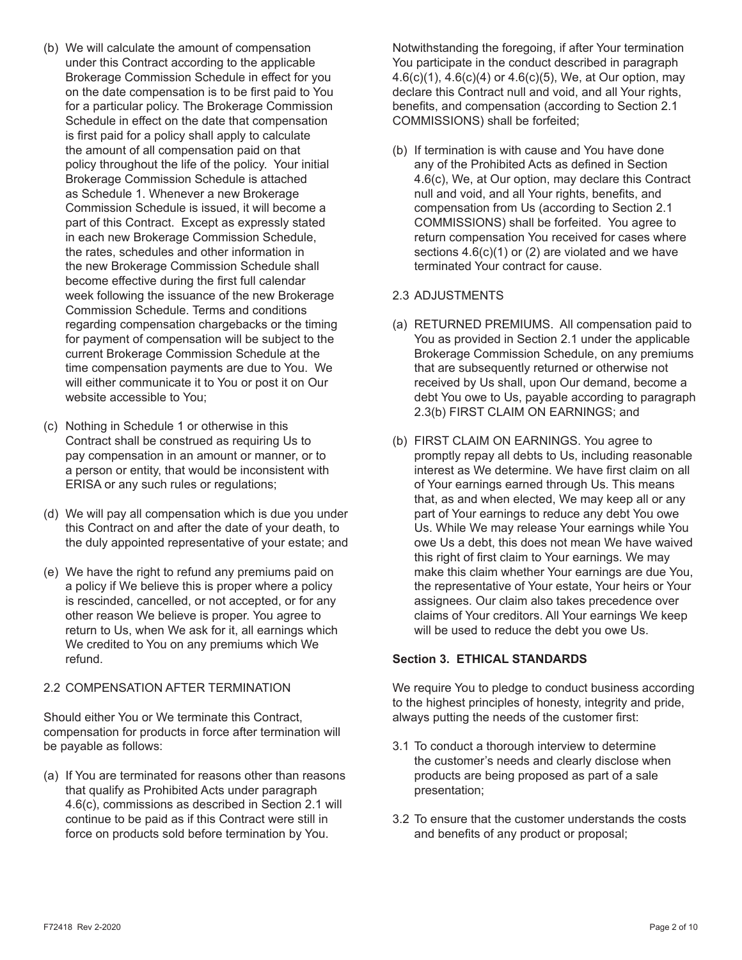- (b) We will calculate the amount of compensation under this Contract according to the applicable Brokerage Commission Schedule in effect for you on the date compensation is to be first paid to You for a particular policy. The Brokerage Commission Schedule in effect on the date that compensation is first paid for a policy shall apply to calculate the amount of all compensation paid on that policy throughout the life of the policy. Your initial Brokerage Commission Schedule is attached as Schedule 1. Whenever a new Brokerage Commission Schedule is issued, it will become a part of this Contract. Except as expressly stated in each new Brokerage Commission Schedule, the rates, schedules and other information in the new Brokerage Commission Schedule shall become effective during the first full calendar week following the issuance of the new Brokerage Commission Schedule. Terms and conditions regarding compensation chargebacks or the timing for payment of compensation will be subject to the current Brokerage Commission Schedule at the time compensation payments are due to You. We will either communicate it to You or post it on Our website accessible to You;
- (c) Nothing in Schedule 1 or otherwise in this Contract shall be construed as requiring Us to pay compensation in an amount or manner, or to a person or entity, that would be inconsistent with ERISA or any such rules or regulations;
- (d) We will pay all compensation which is due you under this Contract on and after the date of your death, to the duly appointed representative of your estate; and
- (e) We have the right to refund any premiums paid on a policy if We believe this is proper where a policy is rescinded, cancelled, or not accepted, or for any other reason We believe is proper. You agree to return to Us, when We ask for it, all earnings which We credited to You on any premiums which We refund.

### 2.2 COMPENSATION AFTER TERMINATION

Should either You or We terminate this Contract, compensation for products in force after termination will be payable as follows:

(a) If You are terminated for reasons other than reasons that qualify as Prohibited Acts under paragraph 4.6(c), commissions as described in Section 2.1 will continue to be paid as if this Contract were still in force on products sold before termination by You.

Notwithstanding the foregoing, if after Your termination You participate in the conduct described in paragraph 4.6(c)(1), 4.6(c)(4) or 4.6(c)(5), We, at Our option, may declare this Contract null and void, and all Your rights, benefits, and compensation (according to Section 2.1 COMMISSIONS) shall be forfeited;

(b) If termination is with cause and You have done any of the Prohibited Acts as defined in Section 4.6(c), We, at Our option, may declare this Contract null and void, and all Your rights, benefits, and compensation from Us (according to Section 2.1 COMMISSIONS) shall be forfeited. You agree to return compensation You received for cases where sections  $4.6(c)(1)$  or (2) are violated and we have terminated Your contract for cause.

# 2.3 ADJUSTMENTS

- (a) RETURNED PREMIUMS. All compensation paid to You as provided in Section 2.1 under the applicable Brokerage Commission Schedule, on any premiums that are subsequently returned or otherwise not received by Us shall, upon Our demand, become a debt You owe to Us, payable according to paragraph 2.3(b) FIRST CLAIM ON EARNINGS; and
- (b) FIRST CLAIM ON EARNINGS. You agree to promptly repay all debts to Us, including reasonable interest as We determine. We have first claim on all of Your earnings earned through Us. This means that, as and when elected, We may keep all or any part of Your earnings to reduce any debt You owe Us. While We may release Your earnings while You owe Us a debt, this does not mean We have waived this right of first claim to Your earnings. We may make this claim whether Your earnings are due You, the representative of Your estate, Your heirs or Your assignees. Our claim also takes precedence over claims of Your creditors. All Your earnings We keep will be used to reduce the debt you owe Us.

# **Section 3. ETHICAL STANDARDS**

We require You to pledge to conduct business according to the highest principles of honesty, integrity and pride, always putting the needs of the customer first:

- 3.1 To conduct a thorough interview to determine the customer's needs and clearly disclose when products are being proposed as part of a sale presentation;
- 3.2 To ensure that the customer understands the costs and benefits of any product or proposal;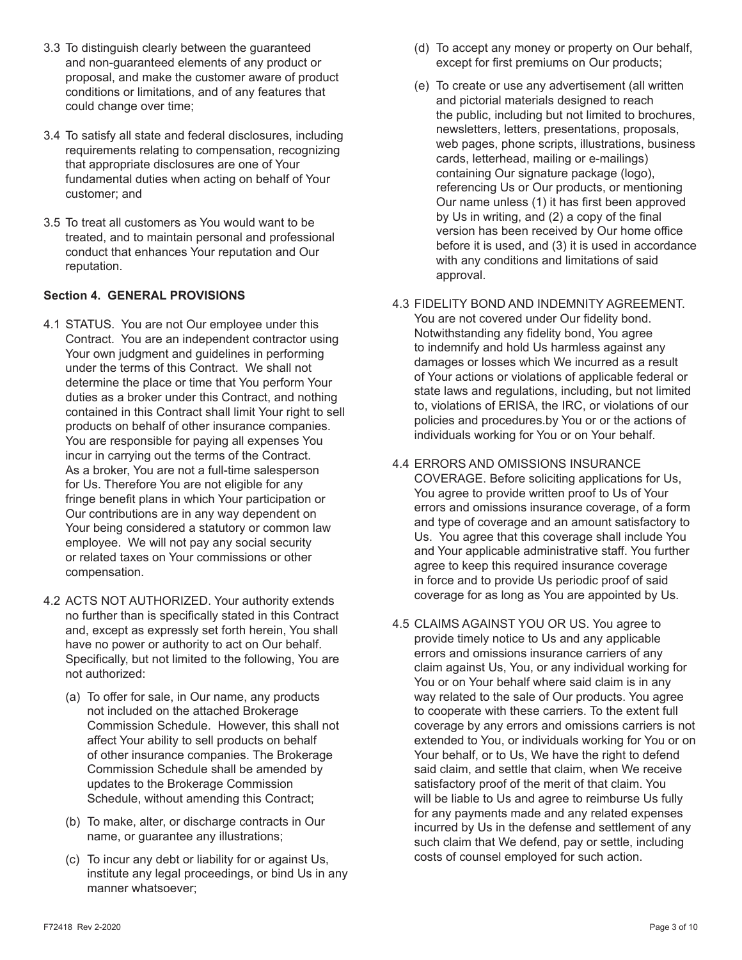- 3.3 To distinguish clearly between the guaranteed and non-guaranteed elements of any product or proposal, and make the customer aware of product conditions or limitations, and of any features that could change over time;
- 3.4 To satisfy all state and federal disclosures, including requirements relating to compensation, recognizing that appropriate disclosures are one of Your fundamental duties when acting on behalf of Your customer; and
- 3.5 To treat all customers as You would want to be treated, and to maintain personal and professional conduct that enhances Your reputation and Our reputation.

### **Section 4. GENERAL PROVISIONS**

- 4.1 STATUS. You are not Our employee under this Contract. You are an independent contractor using Your own judgment and guidelines in performing under the terms of this Contract. We shall not determine the place or time that You perform Your duties as a broker under this Contract, and nothing contained in this Contract shall limit Your right to sell products on behalf of other insurance companies. You are responsible for paying all expenses You incur in carrying out the terms of the Contract. As a broker, You are not a full-time salesperson for Us. Therefore You are not eligible for any fringe benefit plans in which Your participation or Our contributions are in any way dependent on Your being considered a statutory or common law employee. We will not pay any social security or related taxes on Your commissions or other compensation.
- 4.2 ACTS NOT AUTHORIZED. Your authority extends no further than is specifically stated in this Contract and, except as expressly set forth herein, You shall have no power or authority to act on Our behalf. Specifically, but not limited to the following, You are not authorized:
	- (a) To offer for sale, in Our name, any products not included on the attached Brokerage Commission Schedule. However, this shall not affect Your ability to sell products on behalf of other insurance companies. The Brokerage Commission Schedule shall be amended by updates to the Brokerage Commission Schedule, without amending this Contract;
	- (b) To make, alter, or discharge contracts in Our name, or guarantee any illustrations;
	- (c) To incur any debt or liability for or against Us, institute any legal proceedings, or bind Us in any manner whatsoever;
- (d) To accept any money or property on Our behalf, except for first premiums on Our products;
- (e) To create or use any advertisement (all written and pictorial materials designed to reach the public, including but not limited to brochures, newsletters, letters, presentations, proposals, web pages, phone scripts, illustrations, business cards, letterhead, mailing or e-mailings) containing Our signature package (logo), referencing Us or Our products, or mentioning Our name unless (1) it has first been approved by Us in writing, and (2) a copy of the final version has been received by Our home office before it is used, and (3) it is used in accordance with any conditions and limitations of said approval.
- 4.3 FIDELITY BOND AND INDEMNITY AGREEMENT. You are not covered under Our fidelity bond. Notwithstanding any fidelity bond, You agree to indemnify and hold Us harmless against any damages or losses which We incurred as a result of Your actions or violations of applicable federal or state laws and regulations, including, but not limited to, violations of ERISA, the IRC, or violations of our policies and procedures.by You or or the actions of individuals working for You or on Your behalf.
- 4.4 ERRORS AND OMISSIONS INSURANCE COVERAGE. Before soliciting applications for Us, You agree to provide written proof to Us of Your errors and omissions insurance coverage, of a form and type of coverage and an amount satisfactory to Us. You agree that this coverage shall include You and Your applicable administrative staff. You further agree to keep this required insurance coverage in force and to provide Us periodic proof of said coverage for as long as You are appointed by Us.
- 4.5 CLAIMS AGAINST YOU OR US. You agree to provide timely notice to Us and any applicable errors and omissions insurance carriers of any claim against Us, You, or any individual working for You or on Your behalf where said claim is in any way related to the sale of Our products. You agree to cooperate with these carriers. To the extent full coverage by any errors and omissions carriers is not extended to You, or individuals working for You or on Your behalf, or to Us, We have the right to defend said claim, and settle that claim, when We receive satisfactory proof of the merit of that claim. You will be liable to Us and agree to reimburse Us fully for any payments made and any related expenses incurred by Us in the defense and settlement of any such claim that We defend, pay or settle, including costs of counsel employed for such action.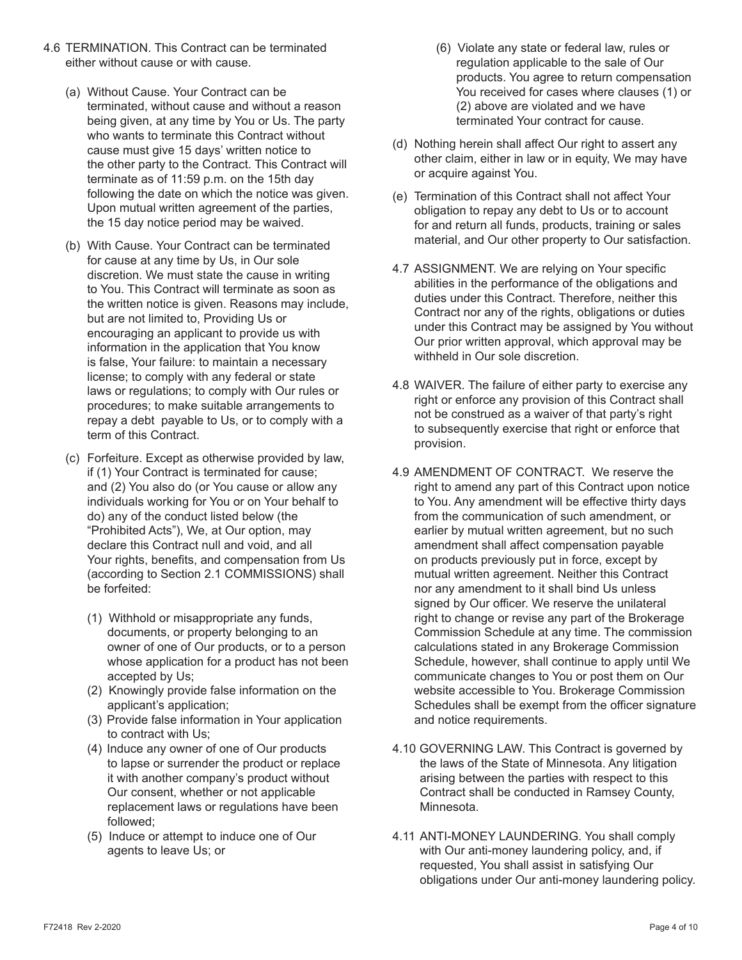- 4.6 TERMINATION. This Contract can be terminated either without cause or with cause.
	- (a) Without Cause. Your Contract can be terminated, without cause and without a reason being given, at any time by You or Us. The party who wants to terminate this Contract without cause must give 15 days' written notice to the other party to the Contract. This Contract will terminate as of 11:59 p.m. on the 15th day following the date on which the notice was given. Upon mutual written agreement of the parties, the 15 day notice period may be waived.
	- (b) With Cause. Your Contract can be terminated for cause at any time by Us, in Our sole discretion. We must state the cause in writing to You. This Contract will terminate as soon as the written notice is given. Reasons may include, but are not limited to, Providing Us or encouraging an applicant to provide us with information in the application that You know is false, Your failure: to maintain a necessary license; to comply with any federal or state laws or regulations; to comply with Our rules or procedures; to make suitable arrangements to repay a debt payable to Us, or to comply with a term of this Contract.
	- (c) Forfeiture. Except as otherwise provided by law, if (1) Your Contract is terminated for cause; and (2) You also do (or You cause or allow any individuals working for You or on Your behalf to do) any of the conduct listed below (the "Prohibited Acts"), We, at Our option, may declare this Contract null and void, and all Your rights, benefits, and compensation from Us (according to Section 2.1 COMMISSIONS) shall be forfeited:
		- (1) Withhold or misappropriate any funds, documents, or property belonging to an owner of one of Our products, or to a person whose application for a product has not been accepted by Us;
		- (2) Knowingly provide false information on the applicant's application;
		- (3) Provide false information in Your application to contract with Us;
		- (4) Induce any owner of one of Our products to lapse or surrender the product or replace it with another company's product without Our consent, whether or not applicable replacement laws or regulations have been followed;
		- (5) Induce or attempt to induce one of Our agents to leave Us; or
- (6) Violate any state or federal law, rules or regulation applicable to the sale of Our products. You agree to return compensation You received for cases where clauses (1) or (2) above are violated and we have terminated Your contract for cause.
- (d) Nothing herein shall affect Our right to assert any other claim, either in law or in equity, We may have or acquire against You.
- (e) Termination of this Contract shall not affect Your obligation to repay any debt to Us or to account for and return all funds, products, training or sales material, and Our other property to Our satisfaction.
- 4.7 ASSIGNMENT. We are relying on Your specific abilities in the performance of the obligations and duties under this Contract. Therefore, neither this Contract nor any of the rights, obligations or duties under this Contract may be assigned by You without Our prior written approval, which approval may be withheld in Our sole discretion.
- 4.8 WAIVER. The failure of either party to exercise any right or enforce any provision of this Contract shall not be construed as a waiver of that party's right to subsequently exercise that right or enforce that provision.
- 4.9 AMENDMENT OF CONTRACT. We reserve the right to amend any part of this Contract upon notice to You. Any amendment will be effective thirty days from the communication of such amendment, or earlier by mutual written agreement, but no such amendment shall affect compensation payable on products previously put in force, except by mutual written agreement. Neither this Contract nor any amendment to it shall bind Us unless signed by Our officer. We reserve the unilateral right to change or revise any part of the Brokerage Commission Schedule at any time. The commission calculations stated in any Brokerage Commission Schedule, however, shall continue to apply until We communicate changes to You or post them on Our website accessible to You. Brokerage Commission Schedules shall be exempt from the officer signature and notice requirements.
- 4.10 GOVERNING LAW. This Contract is governed by the laws of the State of Minnesota. Any litigation arising between the parties with respect to this Contract shall be conducted in Ramsey County, Minnesota.
- 4.11 ANTI-MONEY LAUNDERING. You shall comply with Our anti-money laundering policy, and, if requested, You shall assist in satisfying Our obligations under Our anti-money laundering policy.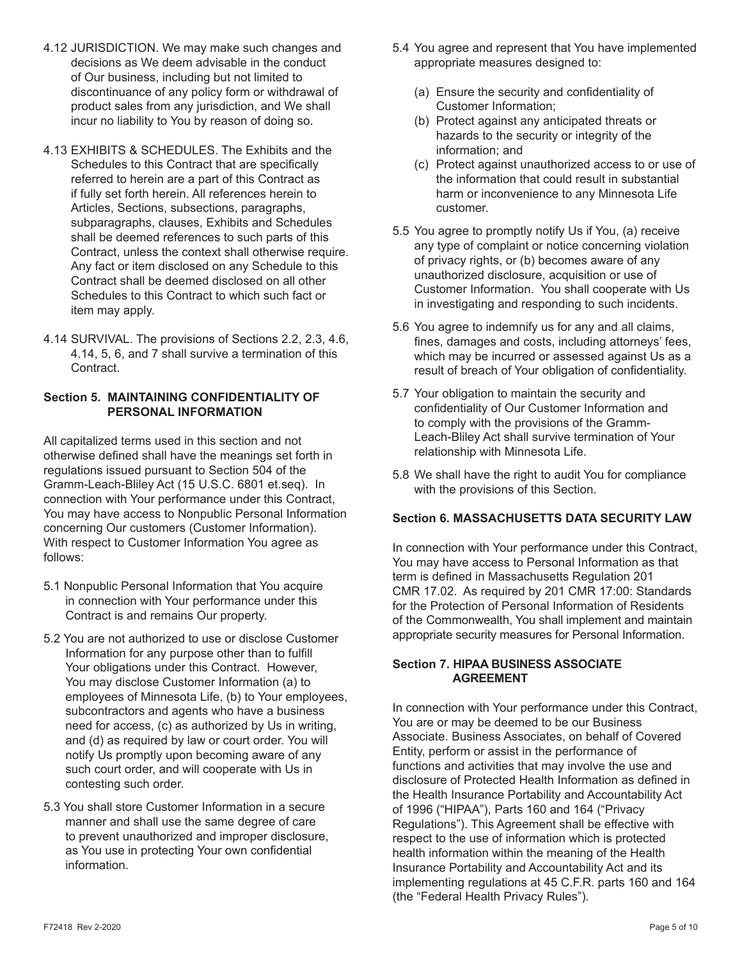- 4.12 JURISDICTION. We may make such changes and decisions as We deem advisable in the conduct of Our business, including but not limited to discontinuance of any policy form or withdrawal of product sales from any jurisdiction, and We shall incur no liability to You by reason of doing so.
- 4.13 EXHIBITS & SCHEDULES. The Exhibits and the Schedules to this Contract that are specifically referred to herein are a part of this Contract as if fully set forth herein. All references herein to Articles, Sections, subsections, paragraphs, subparagraphs, clauses, Exhibits and Schedules shall be deemed references to such parts of this Contract, unless the context shall otherwise require. Any fact or item disclosed on any Schedule to this Contract shall be deemed disclosed on all other Schedules to this Contract to which such fact or item may apply.
- 4.14 SURVIVAL. The provisions of Sections 2.2, 2.3, 4.6, 4.14, 5, 6, and 7 shall survive a termination of this Contract.

### **Section 5. MAINTAINING CONFIDENTIALITY OF PERSONAL INFORMATION**

All capitalized terms used in this section and not otherwise defined shall have the meanings set forth in regulations issued pursuant to Section 504 of the Gramm-Leach-Bliley Act (15 U.S.C. 6801 et.seq). In connection with Your performance under this Contract, You may have access to Nonpublic Personal Information concerning Our customers (Customer Information). With respect to Customer Information You agree as follows:

- 5.1 Nonpublic Personal Information that You acquire in connection with Your performance under this Contract is and remains Our property.
- 5.2 You are not authorized to use or disclose Customer Information for any purpose other than to fulfill Your obligations under this Contract. However, You may disclose Customer Information (a) to employees of Minnesota Life, (b) to Your employees, subcontractors and agents who have a business need for access, (c) as authorized by Us in writing, and (d) as required by law or court order. You will notify Us promptly upon becoming aware of any such court order, and will cooperate with Us in contesting such order.
- 5.3 You shall store Customer Information in a secure manner and shall use the same degree of care to prevent unauthorized and improper disclosure, as You use in protecting Your own confidential information.
- 5.4 You agree and represent that You have implemented appropriate measures designed to:
	- (a) Ensure the security and confidentiality of Customer Information;
	- (b) Protect against any anticipated threats or hazards to the security or integrity of the information; and
	- (c) Protect against unauthorized access to or use of the information that could result in substantial harm or inconvenience to any Minnesota Life customer.
- 5.5 You agree to promptly notify Us if You, (a) receive any type of complaint or notice concerning violation of privacy rights, or (b) becomes aware of any unauthorized disclosure, acquisition or use of Customer Information. You shall cooperate with Us in investigating and responding to such incidents.
- 5.6 You agree to indemnify us for any and all claims, fines, damages and costs, including attorneys' fees, which may be incurred or assessed against Us as a result of breach of Your obligation of confidentiality.
- 5.7 Your obligation to maintain the security and confidentiality of Our Customer Information and to comply with the provisions of the Gramm-Leach-Bliley Act shall survive termination of Your relationship with Minnesota Life.
- 5.8 We shall have the right to audit You for compliance with the provisions of this Section.

# **Section 6. MASSACHUSETTS DATA SECURITY LAW**

In connection with Your performance under this Contract, You may have access to Personal Information as that term is defined in Massachusetts Regulation 201 CMR 17.02. As required by 201 CMR 17:00: Standards for the Protection of Personal Information of Residents of the Commonwealth, You shall implement and maintain appropriate security measures for Personal Information.

## **Section 7. HIPAA BUSINESS ASSOCIATE AGREEMENT**

In connection with Your performance under this Contract, You are or may be deemed to be our Business Associate. Business Associates, on behalf of Covered Entity, perform or assist in the performance of functions and activities that may involve the use and disclosure of Protected Health Information as defined in the Health Insurance Portability and Accountability Act of 1996 ("HIPAA"), Parts 160 and 164 ("Privacy Regulations"). This Agreement shall be effective with respect to the use of information which is protected health information within the meaning of the Health Insurance Portability and Accountability Act and its implementing regulations at 45 C.F.R. parts 160 and 164 (the "Federal Health Privacy Rules").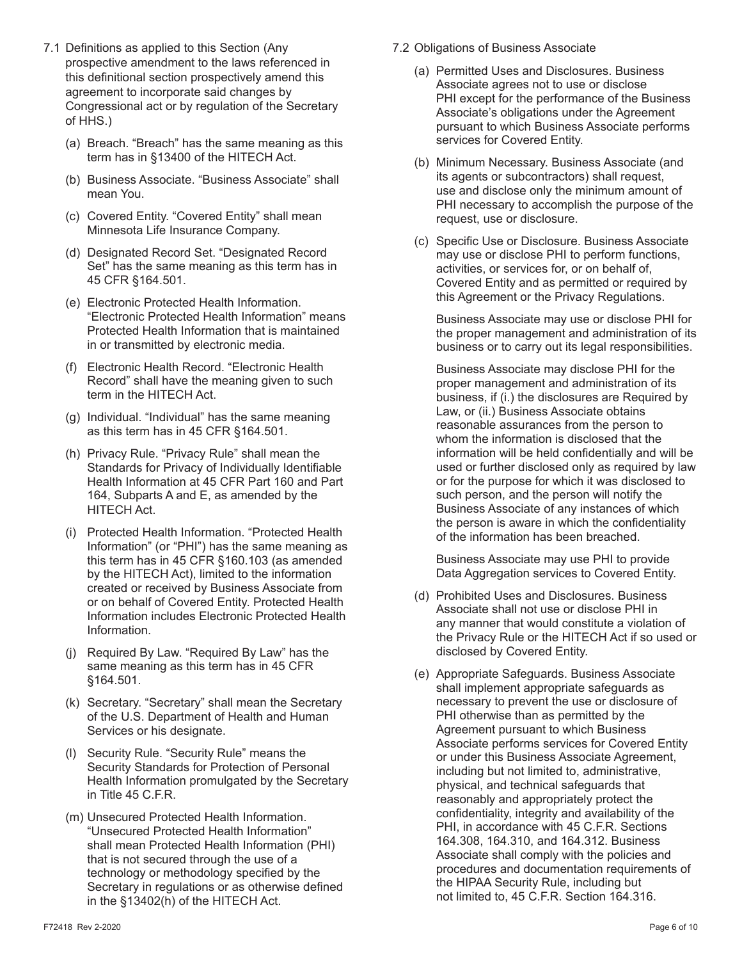- 7.1 Definitions as applied to this Section (Any prospective amendment to the laws referenced in this definitional section prospectively amend this agreement to incorporate said changes by Congressional act or by regulation of the Secretary of HHS.)
	- (a) Breach. "Breach" has the same meaning as this term has in §13400 of the HITECH Act.
	- (b) Business Associate. "Business Associate" shall mean You.
	- (c) Covered Entity. "Covered Entity" shall mean Minnesota Life Insurance Company.
	- (d) Designated Record Set. "Designated Record Set" has the same meaning as this term has in 45 CFR §164.501.
	- (e) Electronic Protected Health Information. "Electronic Protected Health Information" means Protected Health Information that is maintained in or transmitted by electronic media.
	- (f) Electronic Health Record. "Electronic Health Record" shall have the meaning given to such term in the HITECH Act.
	- (g) Individual. "Individual" has the same meaning as this term has in 45 CFR §164.501.
	- (h) Privacy Rule. "Privacy Rule" shall mean the Standards for Privacy of Individually Identifiable Health Information at 45 CFR Part 160 and Part 164, Subparts A and E, as amended by the HITECH Act.
	- (i) Protected Health Information. "Protected Health Information" (or "PHI") has the same meaning as this term has in 45 CFR §160.103 (as amended by the HITECH Act), limited to the information created or received by Business Associate from or on behalf of Covered Entity. Protected Health Information includes Electronic Protected Health Information.
	- (j) Required By Law. "Required By Law" has the same meaning as this term has in 45 CFR §164.501.
	- (k) Secretary. "Secretary" shall mean the Secretary of the U.S. Department of Health and Human Services or his designate.
	- (l) Security Rule. "Security Rule" means the Security Standards for Protection of Personal Health Information promulgated by the Secretary in Title 45 C.F.R.
	- (m) Unsecured Protected Health Information. "Unsecured Protected Health Information" shall mean Protected Health Information (PHI) that is not secured through the use of a technology or methodology specified by the Secretary in regulations or as otherwise defined in the §13402(h) of the HITECH Act.
- 7.2 Obligations of Business Associate
	- (a) Permitted Uses and Disclosures. Business Associate agrees not to use or disclose PHI except for the performance of the Business Associate's obligations under the Agreement pursuant to which Business Associate performs services for Covered Entity.
	- (b) Minimum Necessary. Business Associate (and its agents or subcontractors) shall request, use and disclose only the minimum amount of PHI necessary to accomplish the purpose of the request, use or disclosure.
	- (c) Specific Use or Disclosure. Business Associate may use or disclose PHI to perform functions, activities, or services for, or on behalf of, Covered Entity and as permitted or required by this Agreement or the Privacy Regulations.

 Business Associate may use or disclose PHI for the proper management and administration of its business or to carry out its legal responsibilities.

 Business Associate may disclose PHI for the proper management and administration of its business, if (i.) the disclosures are Required by Law, or (ii.) Business Associate obtains reasonable assurances from the person to whom the information is disclosed that the information will be held confidentially and will be used or further disclosed only as required by law or for the purpose for which it was disclosed to such person, and the person will notify the Business Associate of any instances of which the person is aware in which the confidentiality of the information has been breached.

 Business Associate may use PHI to provide Data Aggregation services to Covered Entity.

- (d) Prohibited Uses and Disclosures. Business Associate shall not use or disclose PHI in any manner that would constitute a violation of the Privacy Rule or the HITECH Act if so used or disclosed by Covered Entity.
- (e) Appropriate Safeguards. Business Associate shall implement appropriate safeguards as necessary to prevent the use or disclosure of PHI otherwise than as permitted by the Agreement pursuant to which Business Associate performs services for Covered Entity or under this Business Associate Agreement, including but not limited to, administrative, physical, and technical safeguards that reasonably and appropriately protect the confidentiality, integrity and availability of the PHI, in accordance with 45 C.F.R. Sections 164.308, 164.310, and 164.312. Business Associate shall comply with the policies and procedures and documentation requirements of the HIPAA Security Rule, including but not limited to, 45 C.F.R. Section 164.316.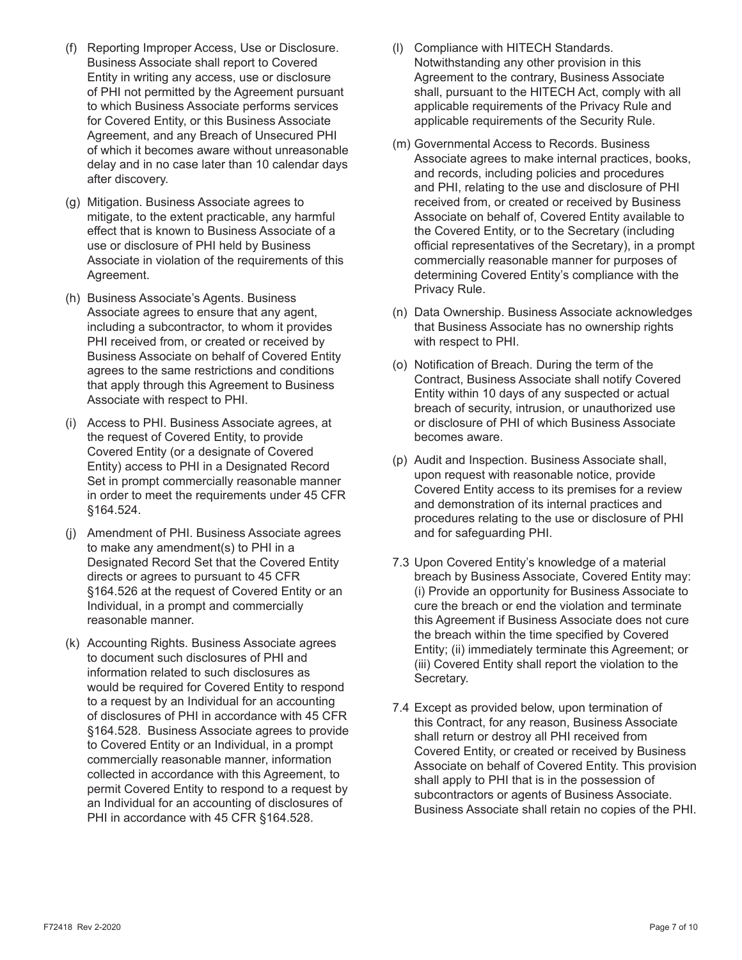- (f) Reporting Improper Access, Use or Disclosure. Business Associate shall report to Covered Entity in writing any access, use or disclosure of PHI not permitted by the Agreement pursuant to which Business Associate performs services for Covered Entity, or this Business Associate Agreement, and any Breach of Unsecured PHI of which it becomes aware without unreasonable delay and in no case later than 10 calendar days after discovery.
- (g) Mitigation. Business Associate agrees to mitigate, to the extent practicable, any harmful effect that is known to Business Associate of a use or disclosure of PHI held by Business Associate in violation of the requirements of this Agreement.
- (h) Business Associate's Agents. Business Associate agrees to ensure that any agent, including a subcontractor, to whom it provides PHI received from, or created or received by Business Associate on behalf of Covered Entity agrees to the same restrictions and conditions that apply through this Agreement to Business Associate with respect to PHI.
- (i) Access to PHI. Business Associate agrees, at the request of Covered Entity, to provide Covered Entity (or a designate of Covered Entity) access to PHI in a Designated Record Set in prompt commercially reasonable manner in order to meet the requirements under 45 CFR §164.524.
- (j) Amendment of PHI. Business Associate agrees to make any amendment(s) to PHI in a Designated Record Set that the Covered Entity directs or agrees to pursuant to 45 CFR §164.526 at the request of Covered Entity or an Individual, in a prompt and commercially reasonable manner.
- (k) Accounting Rights. Business Associate agrees to document such disclosures of PHI and information related to such disclosures as would be required for Covered Entity to respond to a request by an Individual for an accounting of disclosures of PHI in accordance with 45 CFR §164.528. Business Associate agrees to provide to Covered Entity or an Individual, in a prompt commercially reasonable manner, information collected in accordance with this Agreement, to permit Covered Entity to respond to a request by an Individual for an accounting of disclosures of PHI in accordance with 45 CFR §164.528.
- (l) Compliance with HITECH Standards. Notwithstanding any other provision in this Agreement to the contrary, Business Associate shall, pursuant to the HITECH Act, comply with all applicable requirements of the Privacy Rule and applicable requirements of the Security Rule.
- (m) Governmental Access to Records. Business Associate agrees to make internal practices, books, and records, including policies and procedures and PHI, relating to the use and disclosure of PHI received from, or created or received by Business Associate on behalf of, Covered Entity available to the Covered Entity, or to the Secretary (including official representatives of the Secretary), in a prompt commercially reasonable manner for purposes of determining Covered Entity's compliance with the Privacy Rule.
- (n) Data Ownership. Business Associate acknowledges that Business Associate has no ownership rights with respect to PHI.
- (o) Notification of Breach. During the term of the Contract, Business Associate shall notify Covered Entity within 10 days of any suspected or actual breach of security, intrusion, or unauthorized use or disclosure of PHI of which Business Associate becomes aware.
- (p) Audit and Inspection. Business Associate shall, upon request with reasonable notice, provide Covered Entity access to its premises for a review and demonstration of its internal practices and procedures relating to the use or disclosure of PHI and for safeguarding PHI.
- 7.3 Upon Covered Entity's knowledge of a material breach by Business Associate, Covered Entity may: (i) Provide an opportunity for Business Associate to cure the breach or end the violation and terminate this Agreement if Business Associate does not cure the breach within the time specified by Covered Entity; (ii) immediately terminate this Agreement; or (iii) Covered Entity shall report the violation to the Secretary.
- 7.4 Except as provided below, upon termination of this Contract, for any reason, Business Associate shall return or destroy all PHI received from Covered Entity, or created or received by Business Associate on behalf of Covered Entity. This provision shall apply to PHI that is in the possession of subcontractors or agents of Business Associate. Business Associate shall retain no copies of the PHI.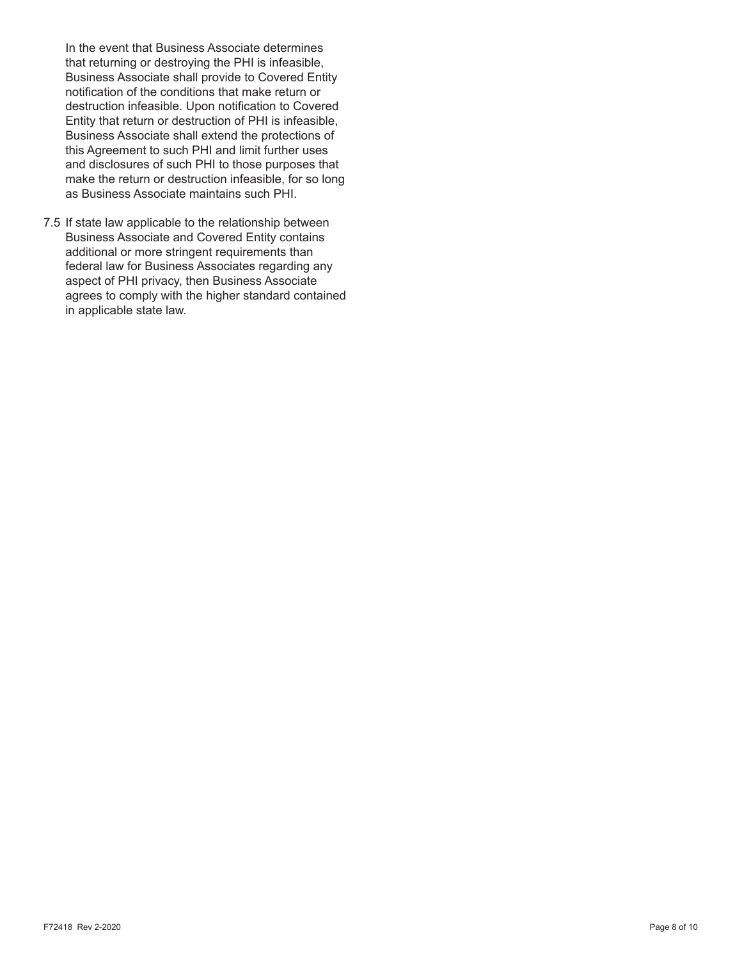In the event that Business Associate determines that returning or destroying the PHI is infeasible, Business Associate shall provide to Covered Entity notification of the conditions that make return or destruction infeasible. Upon notification to Covered Entity that return or destruction of PHI is infeasible, Business Associate shall extend the protections of this Agreement to such PHI and limit further uses and disclosures of such PHI to those purposes that make the return or destruction infeasible, for so long as Business Associate maintains such PHI.

7.5 If state law applicable to the relationship between Business Associate and Covered Entity contains additional or more stringent requirements than federal law for Business Associates regarding any aspect of PHI privacy, then Business Associate agrees to comply with the higher standard contained in applicable state law.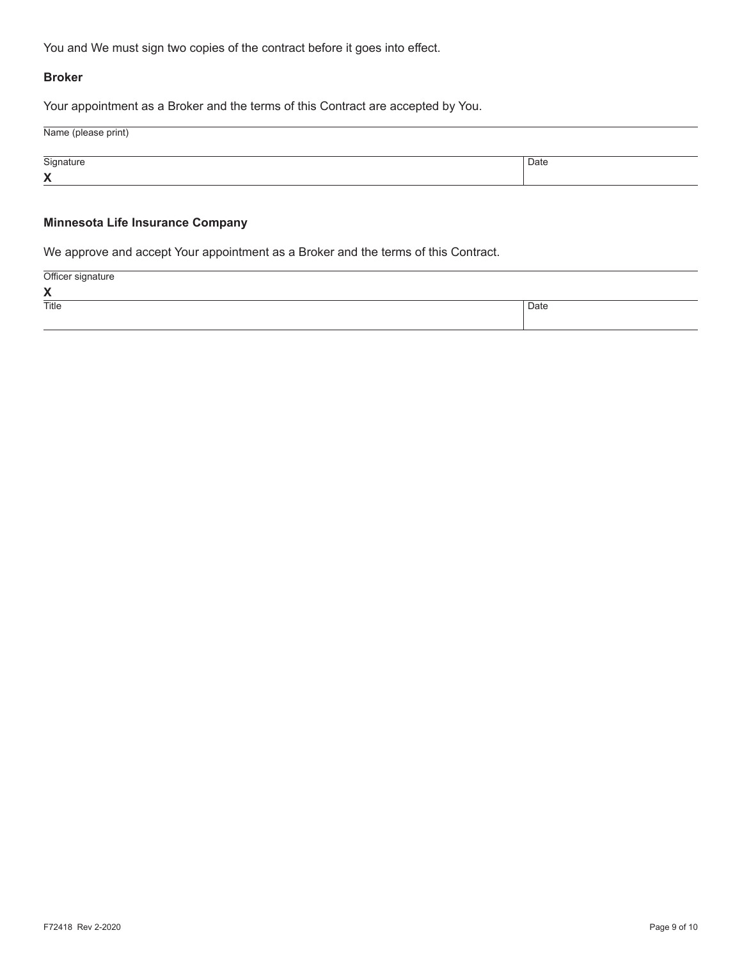You and We must sign two copies of the contract before it goes into effect.

#### **Broker**

Your appointment as a Broker and the terms of this Contract are accepted by You.

| Name (please print) |      |
|---------------------|------|
| Signature           | Date |
| X                   |      |

## **Minnesota Life Insurance Company**

We approve and accept Your appointment as a Broker and the terms of this Contract.

Officer signature

| $\mathbf{v}$<br>$\lambda$ |      |
|---------------------------|------|
| Title                     | Date |
|                           |      |